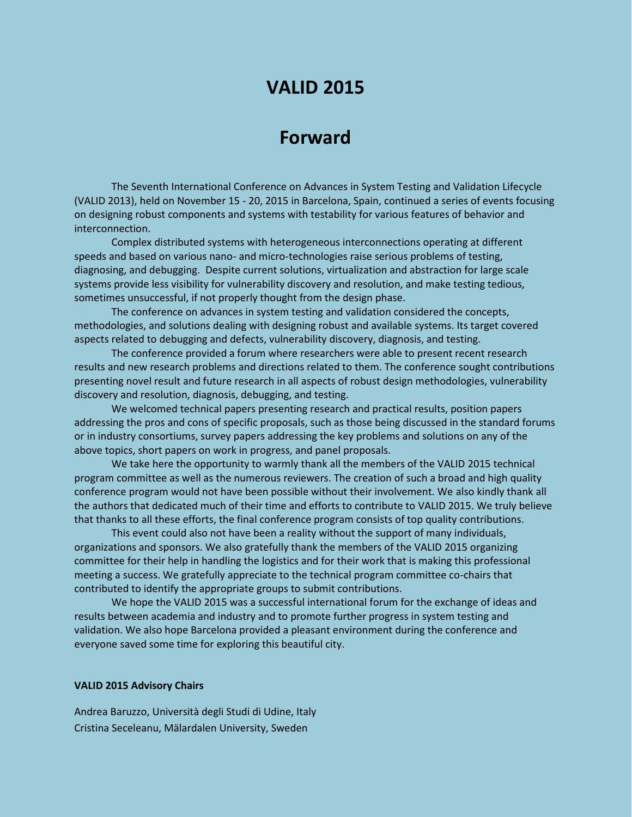# **VALID 2015**

## **Forward**

The Seventh International Conference on Advances in System Testing and Validation Lifecycle (VALID 2013), held on November 15 - 20, 2015 in Barcelona, Spain, continued a series of events focusing on designing robust components and systems with testability for various features of behavior and interconnection.

Complex distributed systems with heterogeneous interconnections operating at different speeds and based on various nano- and micro-technologies raise serious problems of testing, diagnosing, and debugging. Despite current solutions, virtualization and abstraction for large scale systems provide less visibility for vulnerability discovery and resolution, and make testing tedious, sometimes unsuccessful, if not properly thought from the design phase.

The conference on advances in system testing and validation considered the concepts, methodologies, and solutions dealing with designing robust and available systems. Its target covered aspects related to debugging and defects, vulnerability discovery, diagnosis, and testing.

The conference provided a forum where researchers were able to present recent research results and new research problems and directions related to them. The conference sought contributions presenting novel result and future research in all aspects of robust design methodologies, vulnerability discovery and resolution, diagnosis, debugging, and testing.

We welcomed technical papers presenting research and practical results, position papers addressing the pros and cons of specific proposals, such as those being discussed in the standard forums or in industry consortiums, survey papers addressing the key problems and solutions on any of the above topics, short papers on work in progress, and panel proposals.

We take here the opportunity to warmly thank all the members of the VALID 2015 technical program committee as well as the numerous reviewers. The creation of such a broad and high quality conference program would not have been possible without their involvement. We also kindly thank all the authors that dedicated much of their time and efforts to contribute to VALID 2015. We truly believe that thanks to all these efforts, the final conference program consists of top quality contributions.

This event could also not have been a reality without the support of many individuals, organizations and sponsors. We also gratefully thank the members of the VALID 2015 organizing committee for their help in handling the logistics and for their work that is making this professional meeting a success. We gratefully appreciate to the technical program committee co-chairs that contributed to identify the appropriate groups to submit contributions.

We hope the VALID 2015 was a successful international forum for the exchange of ideas and results between academia and industry and to promote further progress in system testing and validation. We also hope Barcelona provided a pleasant environment during the conference and everyone saved some time for exploring this beautiful city.

#### **VALID 2015 Advisory Chairs**

Andrea Baruzzo, Università degli Studi di Udine, Italy Cristina Seceleanu, Mälardalen University, Sweden